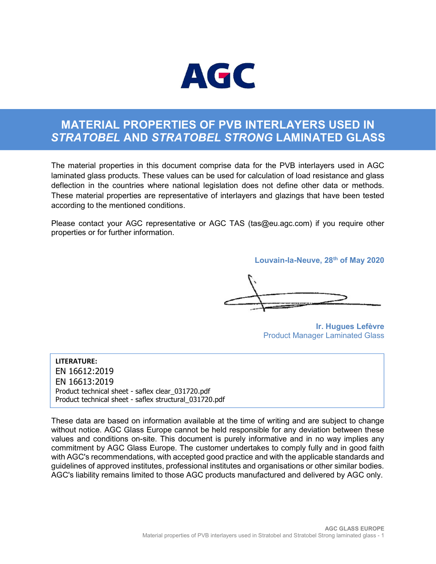

# MATERIAL PROPERTIES OF PVB INTERLAYERS USED IN STRATOBEL AND STRATOBEL STRONG LAMINATED GLASS

The material properties in this document comprise data for the PVB interlayers used in AGC laminated glass products. These values can be used for calculation of load resistance and glass deflection in the countries where national legislation does not define other data or methods. These material properties are representative of interlayers and glazings that have been tested according to the mentioned conditions.

Please contact your AGC representative or AGC TAS (tas@eu.agc.com) if you require other properties or for further information.

Louvain-la-Neuve, 28<sup>th</sup> of May 2020

Ir. Hugues Lefèvre Product Manager Laminated Glass

LITERATURE: EN 16612:2019 EN 16613:2019 Product technical sheet - saflex clear\_031720.pdf Product technical sheet - saflex structural\_031720.pdf

These data are based on information available at the time of writing and are subject to change without notice. AGC Glass Europe cannot be held responsible for any deviation between these values and conditions on-site. This document is purely informative and in no way implies any commitment by AGC Glass Europe. The customer undertakes to comply fully and in good faith with AGC's recommendations, with accepted good practice and with the applicable standards and guidelines of approved institutes, professional institutes and organisations or other similar bodies. AGC's liability remains limited to those AGC products manufactured and delivered by AGC only.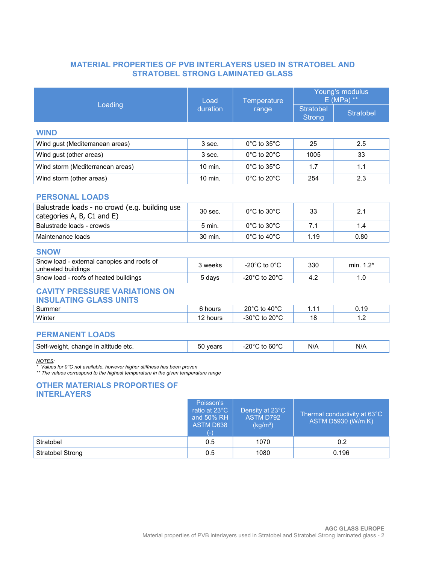## MATERIAL PROPERTIES OF PVB INTERLAYERS USED IN STRATOBEL AND STRATOBEL STRONG LAMINATED GLASS

Young's modulus

|                                                                                                                                                                                                                                               | Load                                                                  | Temperature                                                 | <b>TOUNG STROUGHUS</b><br>$E(MPa)$ **              |                  |  |  |  |  |
|-----------------------------------------------------------------------------------------------------------------------------------------------------------------------------------------------------------------------------------------------|-----------------------------------------------------------------------|-------------------------------------------------------------|----------------------------------------------------|------------------|--|--|--|--|
| Loading                                                                                                                                                                                                                                       | duration                                                              | range                                                       | <b>Stratobel</b><br><b>Strong</b>                  | <b>Stratobel</b> |  |  |  |  |
| <b>WIND</b>                                                                                                                                                                                                                                   |                                                                       |                                                             |                                                    |                  |  |  |  |  |
| Wind gust (Mediterranean areas)                                                                                                                                                                                                               | 3 sec.                                                                | $0^{\circ}$ C to $35^{\circ}$ C                             | 25                                                 | 2.5              |  |  |  |  |
| Wind gust (other areas)                                                                                                                                                                                                                       | 3 sec.                                                                | $0^{\circ}$ C to 20 $^{\circ}$ C                            | 1005                                               | 33               |  |  |  |  |
| Wind storm (Mediterranean areas)                                                                                                                                                                                                              | 10 min.                                                               | 0°C to 35°C                                                 | 1.7                                                | 1.1              |  |  |  |  |
| Wind storm (other areas)                                                                                                                                                                                                                      | 10 min.                                                               | $0^{\circ}$ C to 20 $^{\circ}$ C                            | 254                                                | 2.3              |  |  |  |  |
| <b>PERSONAL LOADS</b>                                                                                                                                                                                                                         |                                                                       |                                                             |                                                    |                  |  |  |  |  |
| Balustrade loads - no crowd (e.g. building use<br>categories A, B, C1 and E)                                                                                                                                                                  | 30 sec.                                                               | $0^{\circ}$ C to $30^{\circ}$ C                             | 33                                                 | 2.1              |  |  |  |  |
| Balustrade loads - crowds                                                                                                                                                                                                                     | 5 min.                                                                | 0°C to 30°C                                                 | 7.1                                                | 1.4              |  |  |  |  |
| Maintenance loads                                                                                                                                                                                                                             | 30 min.                                                               | 0°C to 40°C                                                 | 1.19                                               | 0.80             |  |  |  |  |
| <b>SNOW</b>                                                                                                                                                                                                                                   |                                                                       |                                                             |                                                    |                  |  |  |  |  |
| Snow load - external canopies and roofs of<br>unheated buildings                                                                                                                                                                              | 3 weeks                                                               | -20 $^{\circ}$ C to 0 $^{\circ}$ C                          | 330                                                | min. $1.2*$      |  |  |  |  |
| Snow load - roofs of heated buildings                                                                                                                                                                                                         | 5 days                                                                | -20 $^{\circ}$ C to 20 $^{\circ}$ C                         | 4.2                                                | 1.0              |  |  |  |  |
| <b>CAVITY PRESSURE VARIATIONS ON</b><br><b>INSULATING GLASS UNITS</b>                                                                                                                                                                         |                                                                       |                                                             |                                                    |                  |  |  |  |  |
| Summer                                                                                                                                                                                                                                        | 6 hours                                                               | 20°C to 40°C                                                | 1.11                                               | 0.19             |  |  |  |  |
| Winter                                                                                                                                                                                                                                        | 12 hours                                                              | -30 $^{\circ}$ C to 20 $^{\circ}$ C                         | 18                                                 | 1.2              |  |  |  |  |
| <b>PERMANENT LOADS</b>                                                                                                                                                                                                                        |                                                                       |                                                             |                                                    |                  |  |  |  |  |
| Self-weight, change in altitude etc.                                                                                                                                                                                                          | 50 years                                                              | $-20^{\circ}$ C to 60 $^{\circ}$ C                          | N/A                                                | N/A              |  |  |  |  |
| <b>NOTES:</b><br>* Values for 0°C not available, however higher stiffness has been proven<br>** The values correspond to the highest temperature in the given temperature range<br><b>OTHER MATERIALS PROPORTIES OF</b><br><b>INTERLAYERS</b> |                                                                       |                                                             |                                                    |                  |  |  |  |  |
|                                                                                                                                                                                                                                               | Poisson's<br>ratio at 23°C<br>and 50% RH<br><b>ASTM D638</b><br>$(-)$ | Density at 23°C<br><b>ASTM D792</b><br>(kg/m <sup>3</sup> ) | Thermal conductivity at 63°C<br>ASTM D5930 (W/m.K) |                  |  |  |  |  |
| Stratobel                                                                                                                                                                                                                                     | 0.5                                                                   | 1070                                                        |                                                    | 0.2              |  |  |  |  |
| Stratobel Strong                                                                                                                                                                                                                              | 0.5                                                                   | 1080                                                        | 0.196                                              |                  |  |  |  |  |